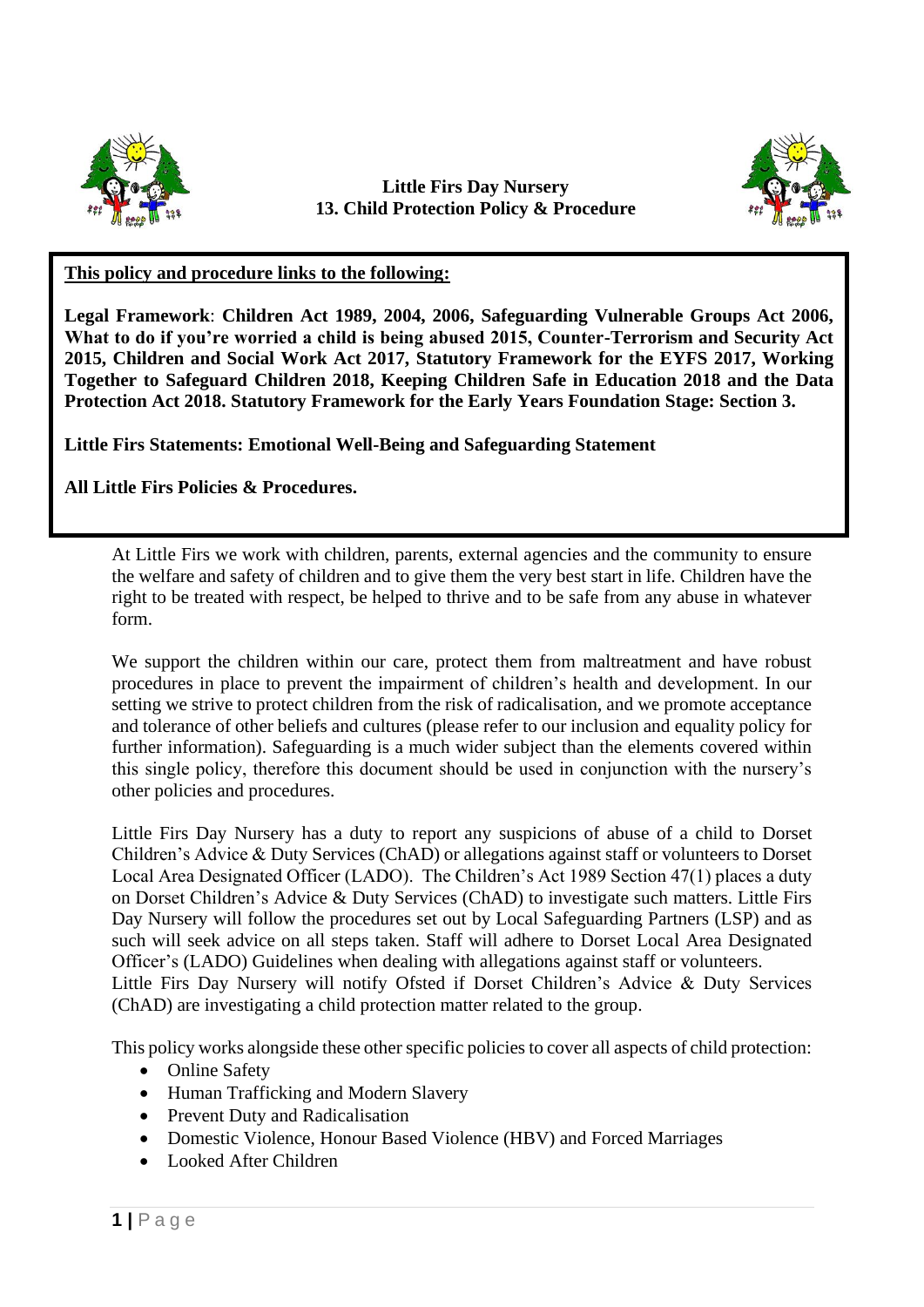

## **Little Firs Day Nursery 13. Child Protection Policy & Procedure**



## **This policy and procedure links to the following:**

**Legal Framework**: **Children Act 1989, 2004, 2006, Safeguarding Vulnerable Groups Act 2006, What to do if you're worried a child is being abused 2015, Counter-Terrorism and Security Act 2015, Children and Social Work Act 2017, Statutory Framework for the EYFS 2017, Working Together to Safeguard Children 2018, Keeping Children Safe in Education 2018 and the Data Protection Act 2018. Statutory Framework for the Early Years Foundation Stage: Section 3.**

**Little Firs Statements: Emotional Well-Being and Safeguarding Statement** 

**All Little Firs Policies & Procedures.**

At Little Firs we work with children, parents, external agencies and the community to ensure the welfare and safety of children and to give them the very best start in life. Children have the right to be treated with respect, be helped to thrive and to be safe from any abuse in whatever form.

We support the children within our care, protect them from maltreatment and have robust procedures in place to prevent the impairment of children's health and development. In our setting we strive to protect children from the risk of radicalisation, and we promote acceptance and tolerance of other beliefs and cultures (please refer to our inclusion and equality policy for further information). Safeguarding is a much wider subject than the elements covered within this single policy, therefore this document should be used in conjunction with the nursery's other policies and procedures.

Little Firs Day Nursery has a duty to report any suspicions of abuse of a child to Dorset Children's Advice & Duty Services (ChAD) or allegations against staff or volunteers to Dorset Local Area Designated Officer (LADO). The Children's Act 1989 Section 47(1) places a duty on Dorset Children's Advice & Duty Services (ChAD) to investigate such matters. Little Firs Day Nursery will follow the procedures set out by Local Safeguarding Partners (LSP) and as such will seek advice on all steps taken. Staff will adhere to Dorset Local Area Designated Officer's (LADO) Guidelines when dealing with allegations against staff or volunteers. Little Firs Day Nursery will notify Ofsted if Dorset Children's Advice & Duty Services (ChAD) are investigating a child protection matter related to the group.

This policy works alongside these other specific policies to cover all aspects of child protection:

- Online Safety
- Human Trafficking and Modern Slavery
- Prevent Duty and Radicalisation
- Domestic Violence, Honour Based Violence (HBV) and Forced Marriages
- Looked After Children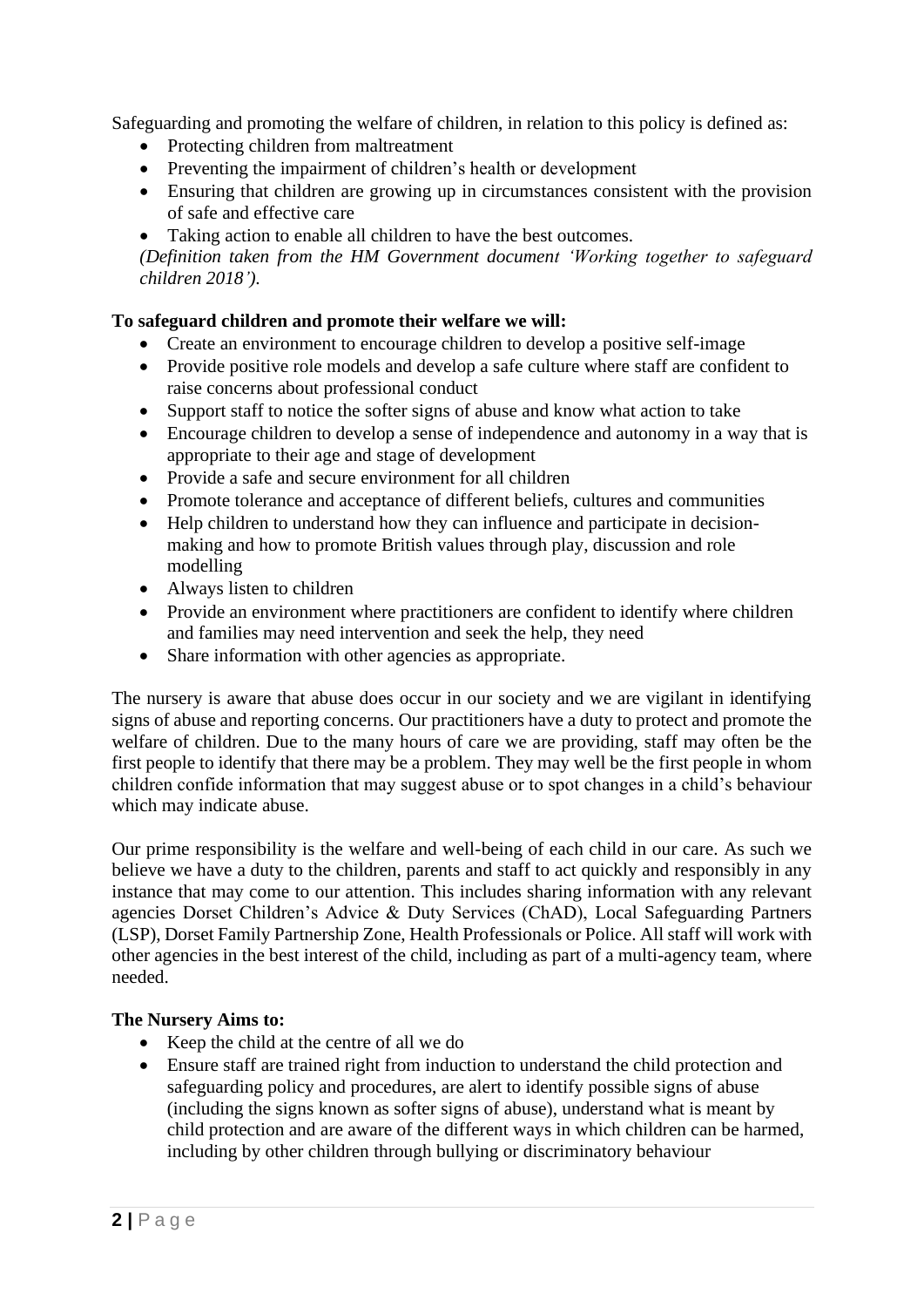Safeguarding and promoting the welfare of children, in relation to this policy is defined as:

- Protecting children from maltreatment
- Preventing the impairment of children's health or development
- Ensuring that children are growing up in circumstances consistent with the provision of safe and effective care
- Taking action to enable all children to have the best outcomes.

*(Definition taken from the HM Government document 'Working together to safeguard children 2018').*

## **To safeguard children and promote their welfare we will:**

- Create an environment to encourage children to develop a positive self-image
- Provide positive role models and develop a safe culture where staff are confident to raise concerns about professional conduct
- Support staff to notice the softer signs of abuse and know what action to take
- Encourage children to develop a sense of independence and autonomy in a way that is appropriate to their age and stage of development
- Provide a safe and secure environment for all children
- Promote tolerance and acceptance of different beliefs, cultures and communities
- Help children to understand how they can influence and participate in decisionmaking and how to promote British values through play, discussion and role modelling
- Always listen to children
- Provide an environment where practitioners are confident to identify where children and families may need intervention and seek the help, they need
- Share information with other agencies as appropriate.

The nursery is aware that abuse does occur in our society and we are vigilant in identifying signs of abuse and reporting concerns. Our practitioners have a duty to protect and promote the welfare of children. Due to the many hours of care we are providing, staff may often be the first people to identify that there may be a problem. They may well be the first people in whom children confide information that may suggest abuse or to spot changes in a child's behaviour which may indicate abuse.

Our prime responsibility is the welfare and well-being of each child in our care. As such we believe we have a duty to the children, parents and staff to act quickly and responsibly in any instance that may come to our attention. This includes sharing information with any relevant agencies Dorset Children's Advice & Duty Services (ChAD), Local Safeguarding Partners (LSP), Dorset Family Partnership Zone, Health Professionals or Police. All staff will work with other agencies in the best interest of the child, including as part of a multi-agency team, where needed.

#### **The Nursery Aims to:**

- Keep the child at the centre of all we do
- Ensure staff are trained right from induction to understand the child protection and safeguarding policy and procedures, are alert to identify possible signs of abuse (including the signs known as softer signs of abuse), understand what is meant by child protection and are aware of the different ways in which children can be harmed, including by other children through bullying or discriminatory behaviour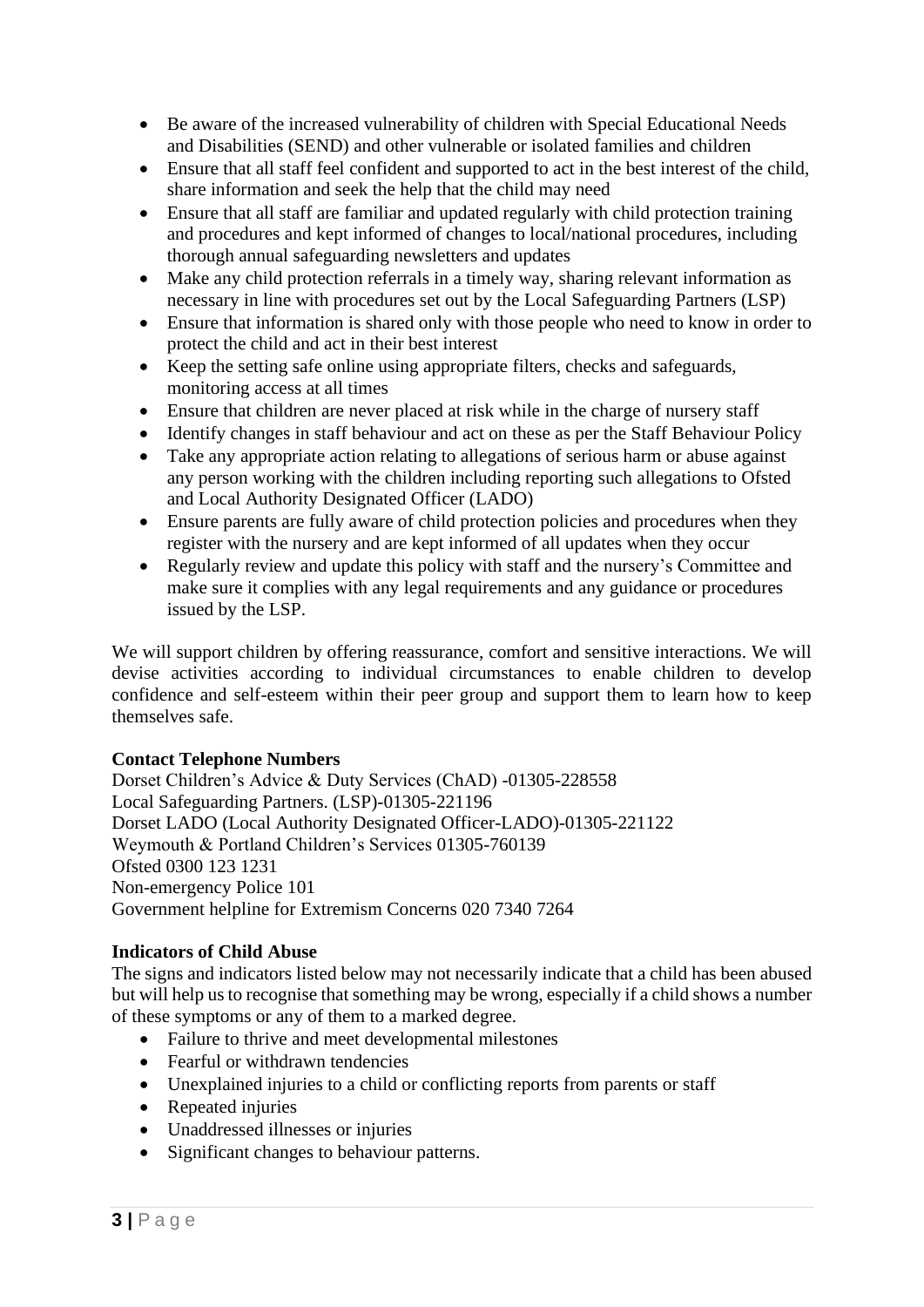- Be aware of the increased vulnerability of children with Special Educational Needs and Disabilities (SEND) and other vulnerable or isolated families and children
- Ensure that all staff feel confident and supported to act in the best interest of the child, share information and seek the help that the child may need
- Ensure that all staff are familiar and updated regularly with child protection training and procedures and kept informed of changes to local/national procedures, including thorough annual safeguarding newsletters and updates
- Make any child protection referrals in a timely way, sharing relevant information as necessary in line with procedures set out by the Local Safeguarding Partners (LSP)
- Ensure that information is shared only with those people who need to know in order to protect the child and act in their best interest
- Keep the setting safe online using appropriate filters, checks and safeguards, monitoring access at all times
- Ensure that children are never placed at risk while in the charge of nursery staff
- Identify changes in staff behaviour and act on these as per the Staff Behaviour Policy
- Take any appropriate action relating to allegations of serious harm or abuse against any person working with the children including reporting such allegations to Ofsted and Local Authority Designated Officer (LADO)
- Ensure parents are fully aware of child protection policies and procedures when they register with the nursery and are kept informed of all updates when they occur
- Regularly review and update this policy with staff and the nursery's Committee and make sure it complies with any legal requirements and any guidance or procedures issued by the LSP.

We will support children by offering reassurance, comfort and sensitive interactions. We will devise activities according to individual circumstances to enable children to develop confidence and self-esteem within their peer group and support them to learn how to keep themselves safe.

# **Contact Telephone Numbers**

Dorset Children's Advice & Duty Services (ChAD) -01305-228558 Local Safeguarding Partners. (LSP)-01305-221196 Dorset LADO (Local Authority Designated Officer-LADO)-01305-221122 Weymouth & Portland Children's Services 01305-760139 Ofsted 0300 123 1231 Non-emergency Police 101 Government helpline for Extremism Concerns 020 7340 7264

# **Indicators of Child Abuse**

The signs and indicators listed below may not necessarily indicate that a child has been abused but will help us to recognise that something may be wrong, especially if a child shows a number of these symptoms or any of them to a marked degree.

- Failure to thrive and meet developmental milestones
- Fearful or withdrawn tendencies
- Unexplained injuries to a child or conflicting reports from parents or staff
- Repeated injuries
- Unaddressed illnesses or injuries
- Significant changes to behaviour patterns.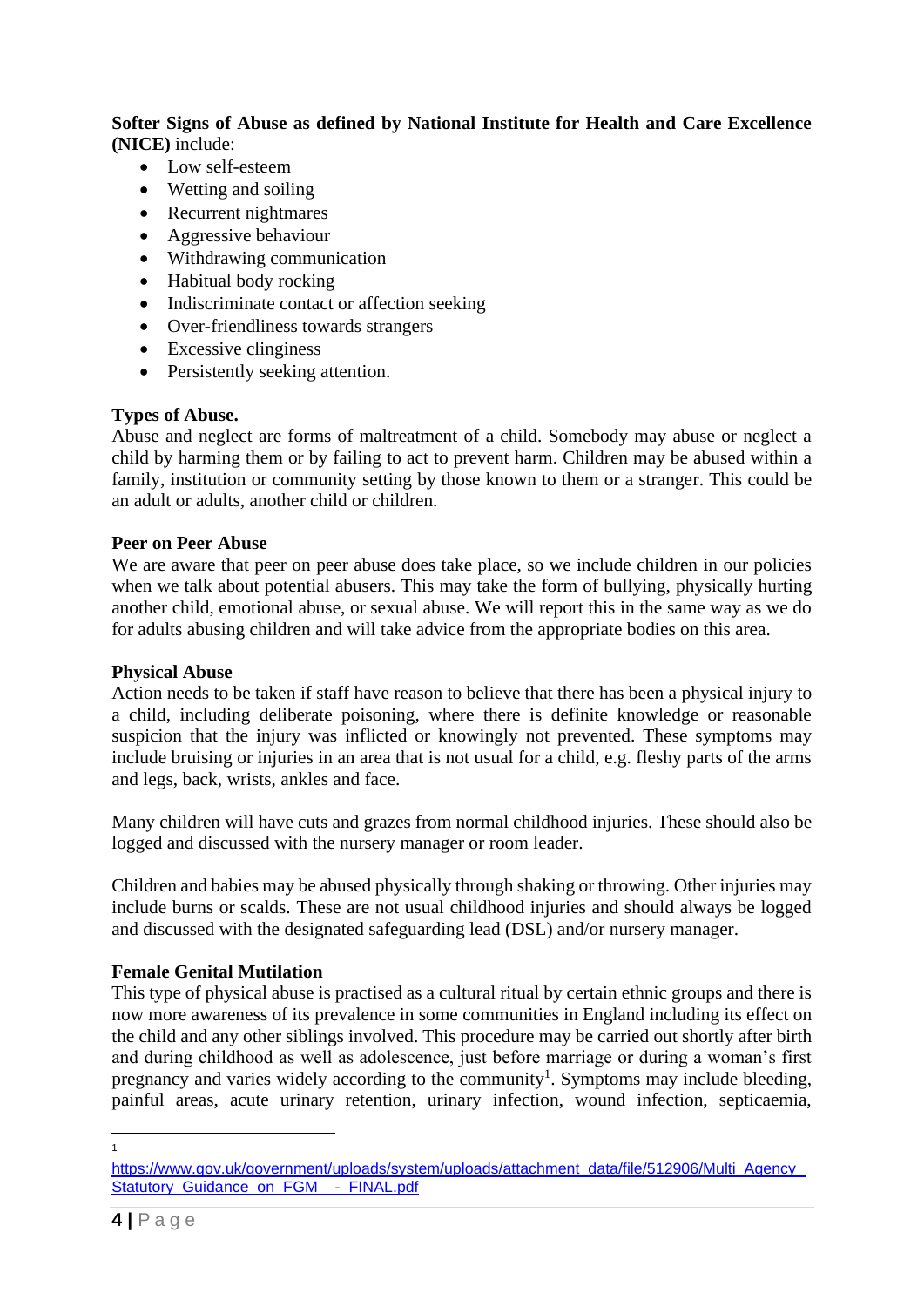**Softer Signs of Abuse as defined by National Institute for Health and Care Excellence (NICE)** include:

- Low self-esteem
- Wetting and soiling
- Recurrent nightmares
- Aggressive behaviour
- Withdrawing communication
- Habitual body rocking
- Indiscriminate contact or affection seeking
- Over-friendliness towards strangers
- Excessive clinginess
- Persistently seeking attention.

## **Types of Abuse.**

Abuse and neglect are forms of maltreatment of a child. Somebody may abuse or neglect a child by harming them or by failing to act to prevent harm. Children may be abused within a family, institution or community setting by those known to them or a stranger. This could be an adult or adults, another child or children.

### **Peer on Peer Abuse**

We are aware that peer on peer abuse does take place, so we include children in our policies when we talk about potential abusers. This may take the form of bullying, physically hurting another child, emotional abuse, or sexual abuse. We will report this in the same way as we do for adults abusing children and will take advice from the appropriate bodies on this area.

## **Physical Abuse**

Action needs to be taken if staff have reason to believe that there has been a physical injury to a child, including deliberate poisoning, where there is definite knowledge or reasonable suspicion that the injury was inflicted or knowingly not prevented. These symptoms may include bruising or injuries in an area that is not usual for a child, e.g. fleshy parts of the arms and legs, back, wrists, ankles and face.

Many children will have cuts and grazes from normal childhood injuries. These should also be logged and discussed with the nursery manager or room leader.

Children and babies may be abused physically through shaking or throwing. Other injuries may include burns or scalds. These are not usual childhood injuries and should always be logged and discussed with the designated safeguarding lead (DSL) and/or nursery manager.

## **Female Genital Mutilation**

This type of physical abuse is practised as a cultural ritual by certain ethnic groups and there is now more awareness of its prevalence in some communities in England including its effect on the child and any other siblings involved. This procedure may be carried out shortly after birth and during childhood as well as adolescence, just before marriage or during a woman's first pregnancy and varies widely according to the community<sup>1</sup>. Symptoms may include bleeding, painful areas, acute urinary retention, urinary infection, wound infection, septicaemia,

1

https://www.gov.uk/government/uploads/system/uploads/attachment\_data/file/512906/Multi\_Agency [Statutory\\_Guidance\\_on\\_FGM\\_\\_-\\_FINAL.pdf](https://www.gov.uk/government/uploads/system/uploads/attachment_data/file/512906/Multi_Agency_Statutory_Guidance_on_FGM__-_FINAL.pdf)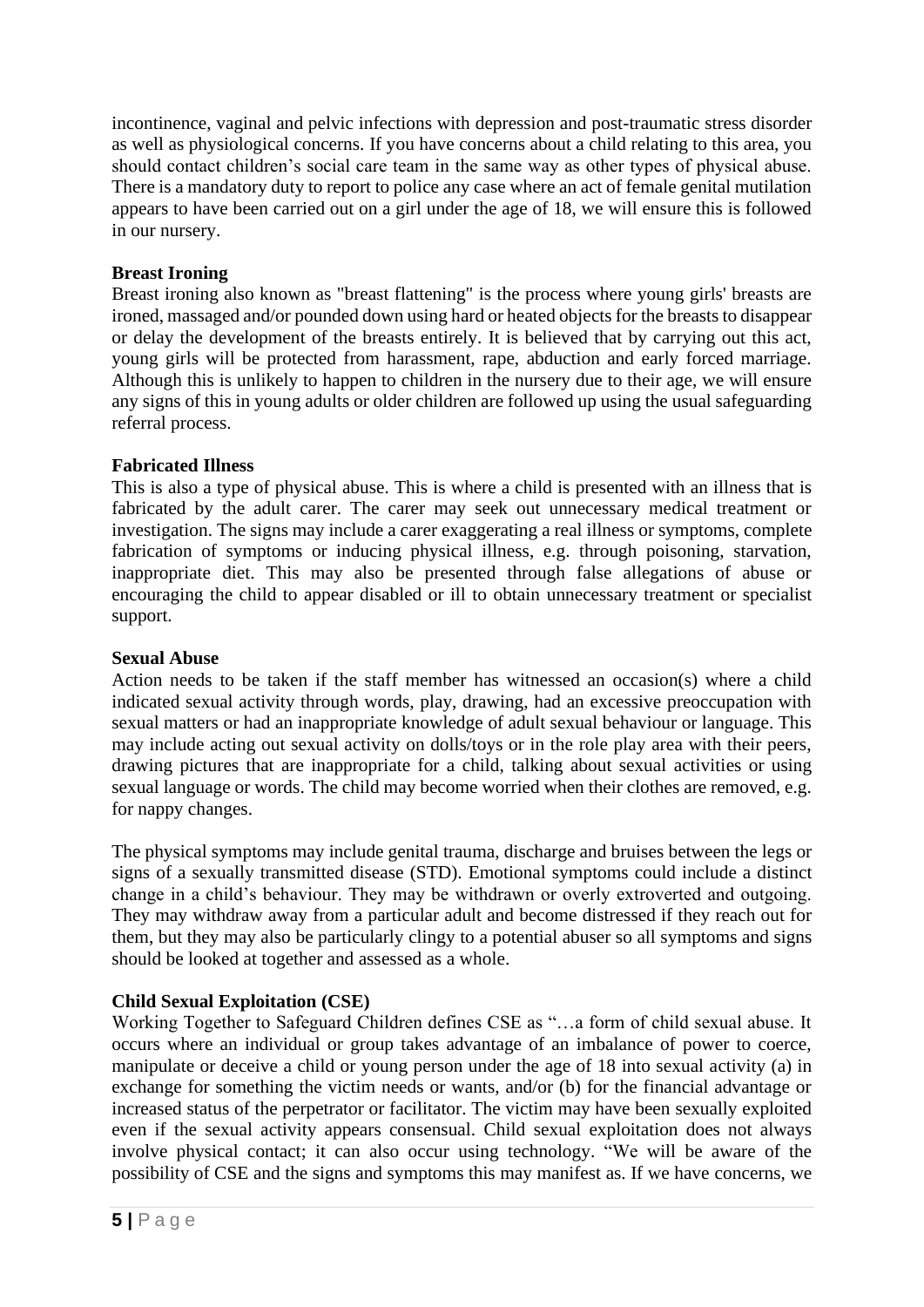incontinence, vaginal and pelvic infections with depression and post-traumatic stress disorder as well as physiological concerns. If you have concerns about a child relating to this area, you should contact children's social care team in the same way as other types of physical abuse. There is a mandatory duty to report to police any case where an act of female genital mutilation appears to have been carried out on a girl under the age of 18, we will ensure this is followed in our nursery.

# **Breast Ironing**

Breast ironing also known as "breast flattening" is the process where young girls' breasts are ironed, massaged and/or pounded down using hard or heated objects for the breasts to disappear or delay the development of the breasts entirely. It is believed that by carrying out this act, young girls will be protected from harassment, rape, abduction and early forced marriage. Although this is unlikely to happen to children in the nursery due to their age, we will ensure any signs of this in young adults or older children are followed up using the usual safeguarding referral process.

# **Fabricated Illness**

This is also a type of physical abuse. This is where a child is presented with an illness that is fabricated by the adult carer. The carer may seek out unnecessary medical treatment or investigation. The signs may include a carer exaggerating a real illness or symptoms, complete fabrication of symptoms or inducing physical illness, e.g. through poisoning, starvation, inappropriate diet. This may also be presented through false allegations of abuse or encouraging the child to appear disabled or ill to obtain unnecessary treatment or specialist support.

# **Sexual Abuse**

Action needs to be taken if the staff member has witnessed an occasion(s) where a child indicated sexual activity through words, play, drawing, had an excessive preoccupation with sexual matters or had an inappropriate knowledge of adult sexual behaviour or language. This may include acting out sexual activity on dolls/toys or in the role play area with their peers, drawing pictures that are inappropriate for a child, talking about sexual activities or using sexual language or words. The child may become worried when their clothes are removed, e.g. for nappy changes.

The physical symptoms may include genital trauma, discharge and bruises between the legs or signs of a sexually transmitted disease (STD). Emotional symptoms could include a distinct change in a child's behaviour. They may be withdrawn or overly extroverted and outgoing. They may withdraw away from a particular adult and become distressed if they reach out for them, but they may also be particularly clingy to a potential abuser so all symptoms and signs should be looked at together and assessed as a whole.

# **Child Sexual Exploitation (CSE)**

Working Together to Safeguard Children defines CSE as "…a form of child sexual abuse. It occurs where an individual or group takes advantage of an imbalance of power to coerce, manipulate or deceive a child or young person under the age of 18 into sexual activity (a) in exchange for something the victim needs or wants, and/or (b) for the financial advantage or increased status of the perpetrator or facilitator. The victim may have been sexually exploited even if the sexual activity appears consensual. Child sexual exploitation does not always involve physical contact; it can also occur using technology. "We will be aware of the possibility of CSE and the signs and symptoms this may manifest as. If we have concerns, we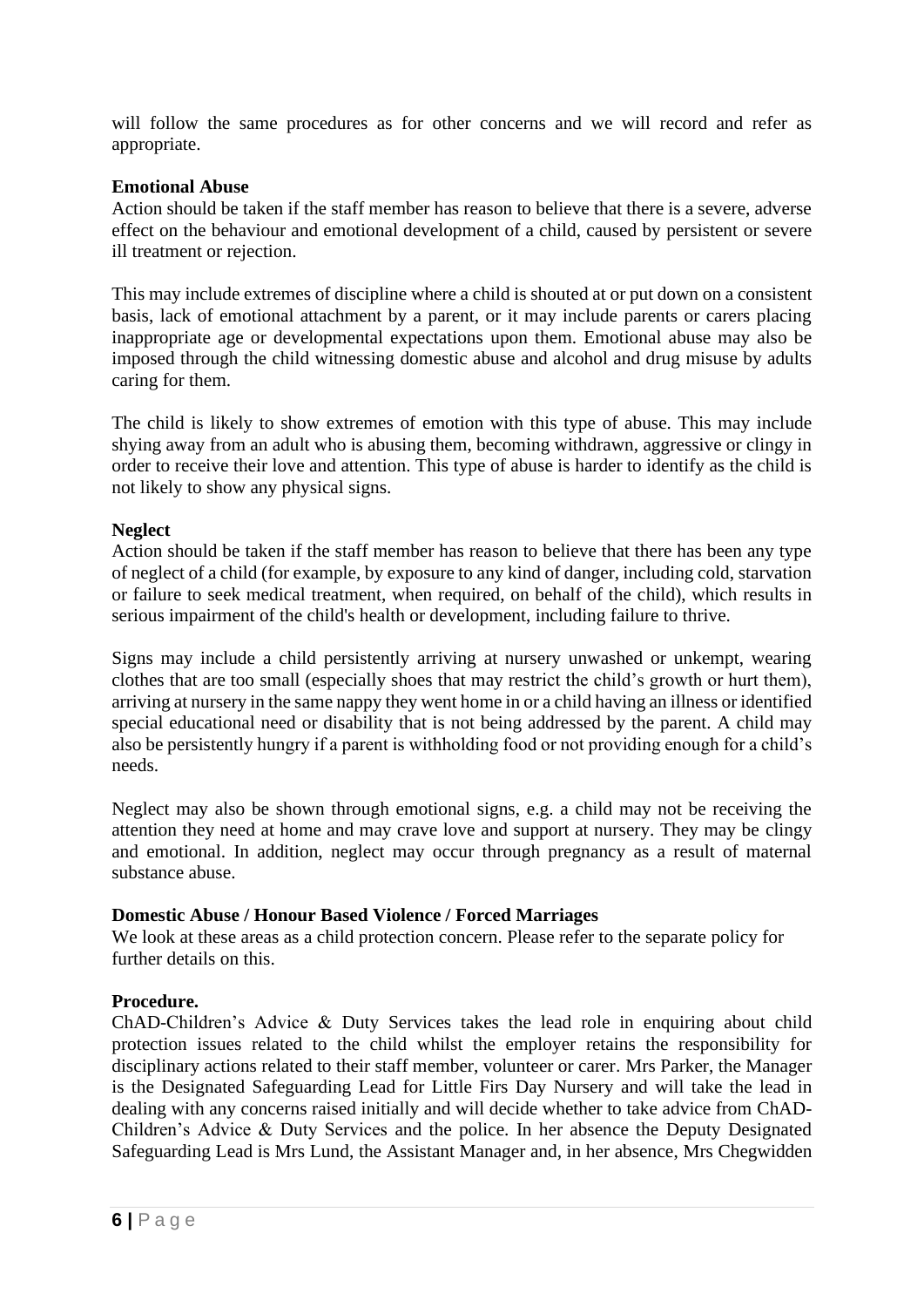will follow the same procedures as for other concerns and we will record and refer as appropriate.

## **Emotional Abuse**

Action should be taken if the staff member has reason to believe that there is a severe, adverse effect on the behaviour and emotional development of a child, caused by persistent or severe ill treatment or rejection.

This may include extremes of discipline where a child is shouted at or put down on a consistent basis, lack of emotional attachment by a parent, or it may include parents or carers placing inappropriate age or developmental expectations upon them. Emotional abuse may also be imposed through the child witnessing domestic abuse and alcohol and drug misuse by adults caring for them.

The child is likely to show extremes of emotion with this type of abuse. This may include shying away from an adult who is abusing them, becoming withdrawn, aggressive or clingy in order to receive their love and attention. This type of abuse is harder to identify as the child is not likely to show any physical signs.

### **Neglect**

Action should be taken if the staff member has reason to believe that there has been any type of neglect of a child (for example, by exposure to any kind of danger, including cold, starvation or failure to seek medical treatment, when required, on behalf of the child), which results in serious impairment of the child's health or development, including failure to thrive.

Signs may include a child persistently arriving at nursery unwashed or unkempt, wearing clothes that are too small (especially shoes that may restrict the child's growth or hurt them), arriving at nursery in the same nappy they went home in or a child having an illness or identified special educational need or disability that is not being addressed by the parent. A child may also be persistently hungry if a parent is withholding food or not providing enough for a child's needs.

Neglect may also be shown through emotional signs, e.g. a child may not be receiving the attention they need at home and may crave love and support at nursery. They may be clingy and emotional. In addition, neglect may occur through pregnancy as a result of maternal substance abuse.

#### **Domestic Abuse / Honour Based Violence / Forced Marriages**

We look at these areas as a child protection concern. Please refer to the separate policy for further details on this.

## **Procedure.**

ChAD-Children's Advice & Duty Services takes the lead role in enquiring about child protection issues related to the child whilst the employer retains the responsibility for disciplinary actions related to their staff member, volunteer or carer. Mrs Parker, the Manager is the Designated Safeguarding Lead for Little Firs Day Nursery and will take the lead in dealing with any concerns raised initially and will decide whether to take advice from ChAD-Children's Advice & Duty Services and the police. In her absence the Deputy Designated Safeguarding Lead is Mrs Lund, the Assistant Manager and, in her absence, Mrs Chegwidden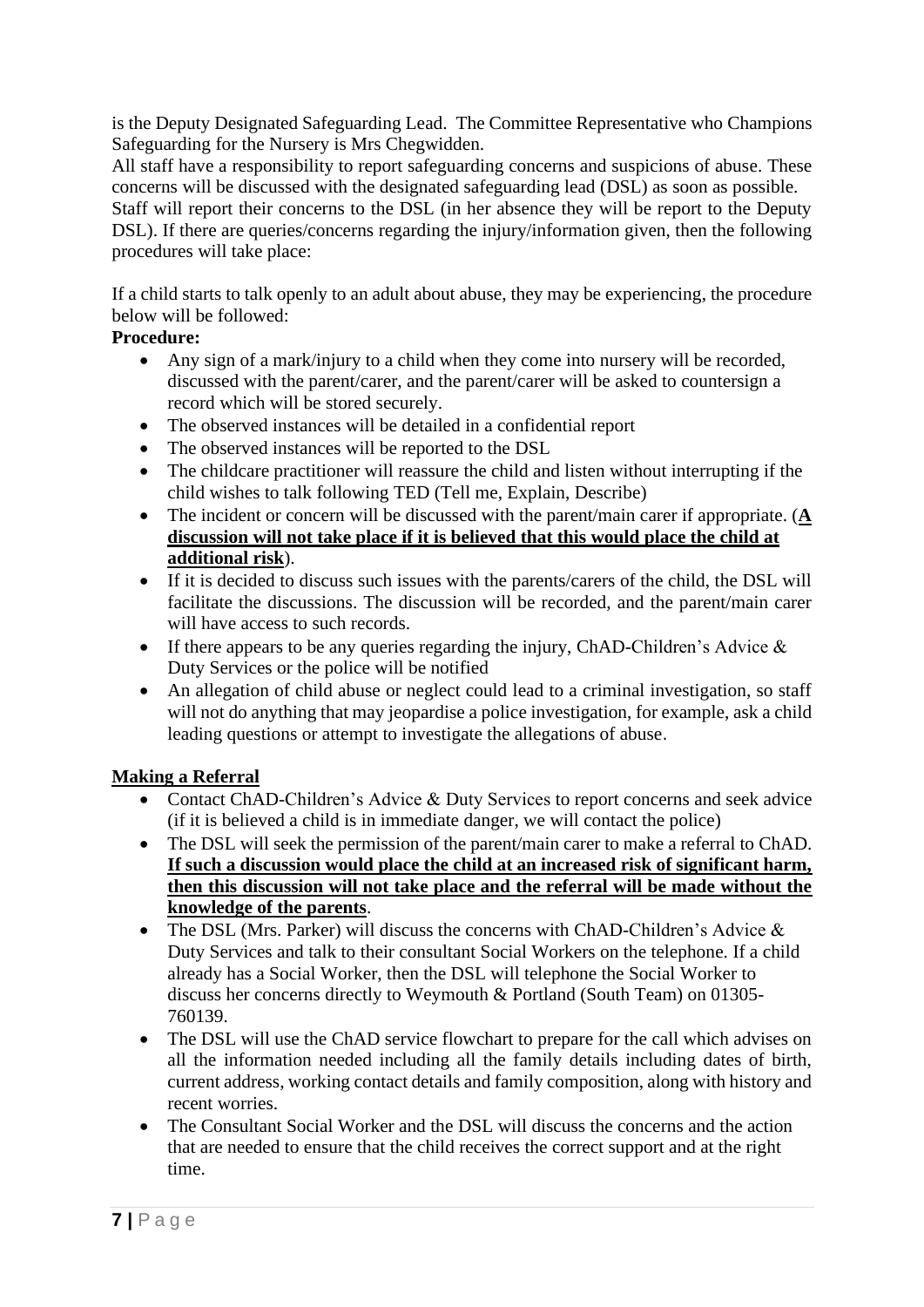is the Deputy Designated Safeguarding Lead. The Committee Representative who Champions Safeguarding for the Nursery is Mrs Chegwidden.

All staff have a responsibility to report safeguarding concerns and suspicions of abuse. These concerns will be discussed with the designated safeguarding lead (DSL) as soon as possible.

Staff will report their concerns to the DSL (in her absence they will be report to the Deputy DSL). If there are queries/concerns regarding the injury/information given, then the following procedures will take place:

If a child starts to talk openly to an adult about abuse, they may be experiencing, the procedure below will be followed:

# **Procedure:**

- Any sign of a mark/injury to a child when they come into nursery will be recorded, discussed with the parent/carer, and the parent/carer will be asked to countersign a record which will be stored securely.
- The observed instances will be detailed in a confidential report
- The observed instances will be reported to the DSL
- The childcare practitioner will reassure the child and listen without interrupting if the child wishes to talk following TED (Tell me, Explain, Describe)
- The incident or concern will be discussed with the parent/main carer if appropriate. (**A discussion will not take place if it is believed that this would place the child at additional risk**).
- If it is decided to discuss such issues with the parents/carers of the child, the DSL will facilitate the discussions. The discussion will be recorded, and the parent/main carer will have access to such records.
- If there appears to be any queries regarding the injury, ChAD-Children's Advice & Duty Services or the police will be notified
- An allegation of child abuse or neglect could lead to a criminal investigation, so staff will not do anything that may jeopardise a police investigation, for example, ask a child leading questions or attempt to investigate the allegations of abuse.

# **Making a Referral**

- Contact ChAD-Children's Advice & Duty Services to report concerns and seek advice (if it is believed a child is in immediate danger, we will contact the police)
- The DSL will seek the permission of the parent/main carer to make a referral to ChAD. **If such a discussion would place the child at an increased risk of significant harm, then this discussion will not take place and the referral will be made without the knowledge of the parents**.
- The DSL (Mrs. Parker) will discuss the concerns with ChAD-Children's Advice & Duty Services and talk to their consultant Social Workers on the telephone. If a child already has a Social Worker, then the DSL will telephone the Social Worker to discuss her concerns directly to Weymouth & Portland (South Team) on 01305- 760139.
- The DSL will use the ChAD service flowchart to prepare for the call which advises on all the information needed including all the family details including dates of birth, current address, working contact details and family composition, along with history and recent worries.
- The Consultant Social Worker and the DSL will discuss the concerns and the action that are needed to ensure that the child receives the correct support and at the right time.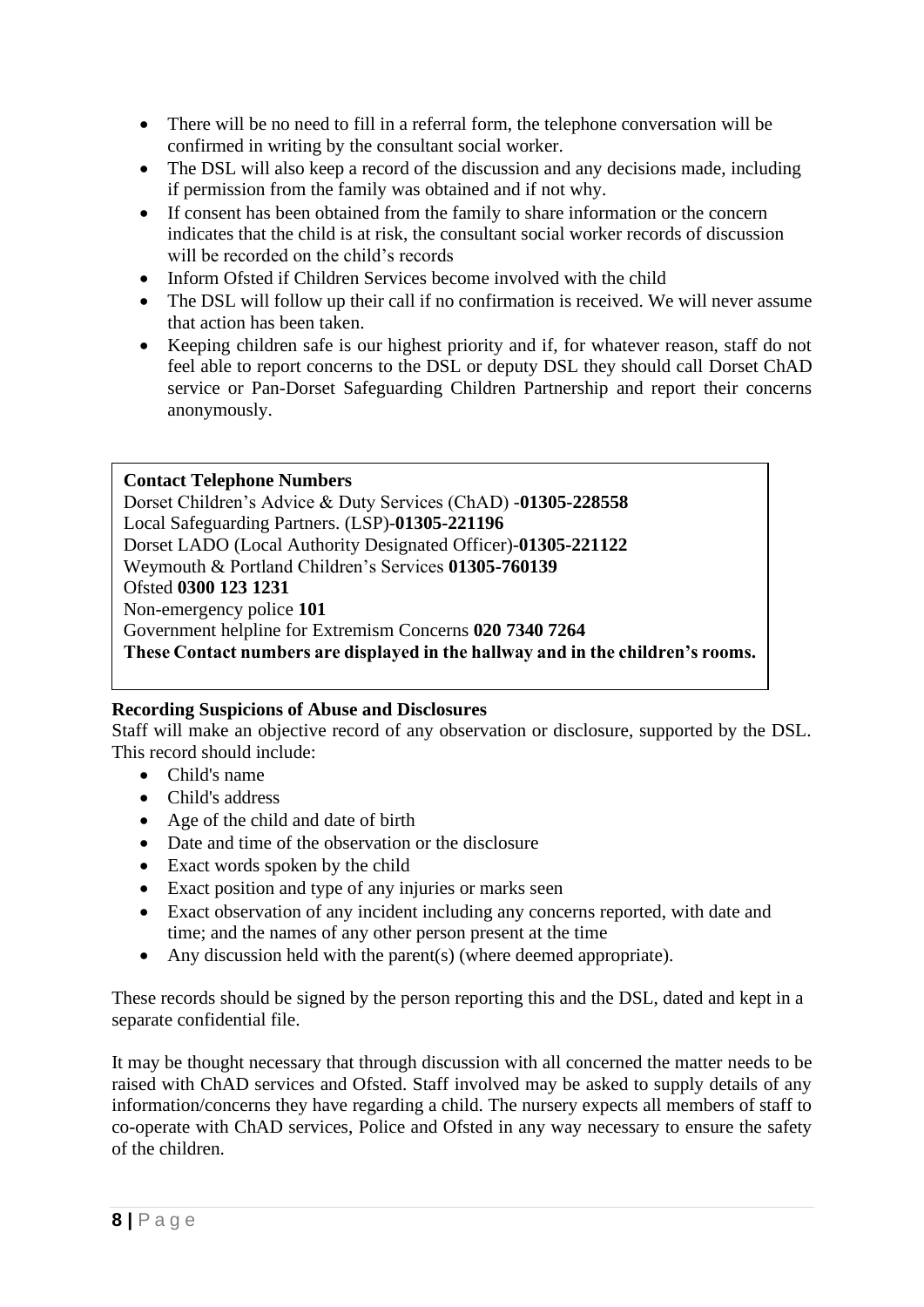- There will be no need to fill in a referral form, the telephone conversation will be confirmed in writing by the consultant social worker.
- The DSL will also keep a record of the discussion and any decisions made, including if permission from the family was obtained and if not why.
- If consent has been obtained from the family to share information or the concern indicates that the child is at risk, the consultant social worker records of discussion will be recorded on the child's records
- Inform Ofsted if Children Services become involved with the child
- The DSL will follow up their call if no confirmation is received. We will never assume that action has been taken.
- Keeping children safe is our highest priority and if, for whatever reason, staff do not feel able to report concerns to the DSL or deputy DSL they should call Dorset ChAD service or Pan-Dorset Safeguarding Children Partnership and report their concerns anonymously.

## **Contact Telephone Numbers**

Dorset Children's Advice & Duty Services (ChAD) -**01305-228558** Local Safeguarding Partners. (LSP)-**01305-221196** Dorset LADO (Local Authority Designated Officer)-**01305-221122** Weymouth & Portland Children's Services **01305-760139** Ofsted **0300 123 1231** Non-emergency police **101**  Government helpline for Extremism Concerns **020 7340 7264 These Contact numbers are displayed in the hallway and in the children's rooms.**

# **Recording Suspicions of Abuse and Disclosures**

Staff will make an objective record of any observation or disclosure, supported by the DSL. This record should include:

- Child's name
- Child's address
- Age of the child and date of birth
- Date and time of the observation or the disclosure
- Exact words spoken by the child
- Exact position and type of any injuries or marks seen
- Exact observation of any incident including any concerns reported, with date and time; and the names of any other person present at the time
- Any discussion held with the parent(s) (where deemed appropriate).

These records should be signed by the person reporting this and the DSL, dated and kept in a separate confidential file.

It may be thought necessary that through discussion with all concerned the matter needs to be raised with ChAD services and Ofsted. Staff involved may be asked to supply details of any information/concerns they have regarding a child. The nursery expects all members of staff to co-operate with ChAD services, Police and Ofsted in any way necessary to ensure the safety of the children.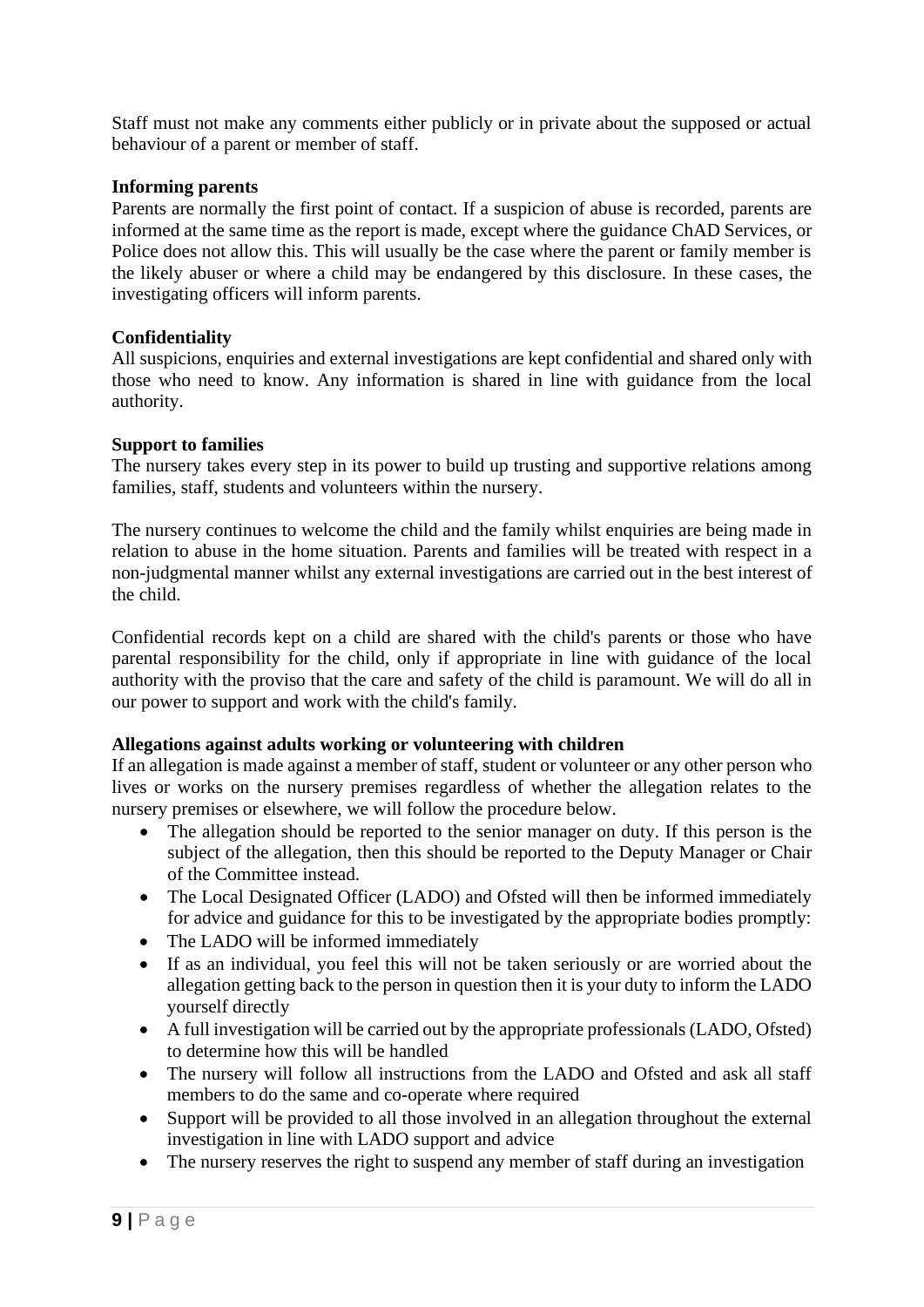Staff must not make any comments either publicly or in private about the supposed or actual behaviour of a parent or member of staff.

### **Informing parents**

Parents are normally the first point of contact. If a suspicion of abuse is recorded, parents are informed at the same time as the report is made, except where the guidance ChAD Services, or Police does not allow this. This will usually be the case where the parent or family member is the likely abuser or where a child may be endangered by this disclosure. In these cases, the investigating officers will inform parents.

### **Confidentiality**

All suspicions, enquiries and external investigations are kept confidential and shared only with those who need to know. Any information is shared in line with guidance from the local authority.

### **Support to families**

The nursery takes every step in its power to build up trusting and supportive relations among families, staff, students and volunteers within the nursery.

The nursery continues to welcome the child and the family whilst enquiries are being made in relation to abuse in the home situation. Parents and families will be treated with respect in a non-judgmental manner whilst any external investigations are carried out in the best interest of the child.

Confidential records kept on a child are shared with the child's parents or those who have parental responsibility for the child, only if appropriate in line with guidance of the local authority with the proviso that the care and safety of the child is paramount. We will do all in our power to support and work with the child's family.

## **Allegations against adults working or volunteering with children**

If an allegation is made against a member of staff, student or volunteer or any other person who lives or works on the nursery premises regardless of whether the allegation relates to the nursery premises or elsewhere, we will follow the procedure below.

- The allegation should be reported to the senior manager on duty. If this person is the subject of the allegation, then this should be reported to the Deputy Manager or Chair of the Committee instead.
- The Local Designated Officer (LADO) and Ofsted will then be informed immediately for advice and guidance for this to be investigated by the appropriate bodies promptly:
- The LADO will be informed immediately
- If as an individual, you feel this will not be taken seriously or are worried about the allegation getting back to the person in question then it is your duty to inform the LADO yourself directly
- A full investigation will be carried out by the appropriate professionals (LADO, Ofsted) to determine how this will be handled
- The nursery will follow all instructions from the LADO and Ofsted and ask all staff members to do the same and co-operate where required
- Support will be provided to all those involved in an allegation throughout the external investigation in line with LADO support and advice
- The nursery reserves the right to suspend any member of staff during an investigation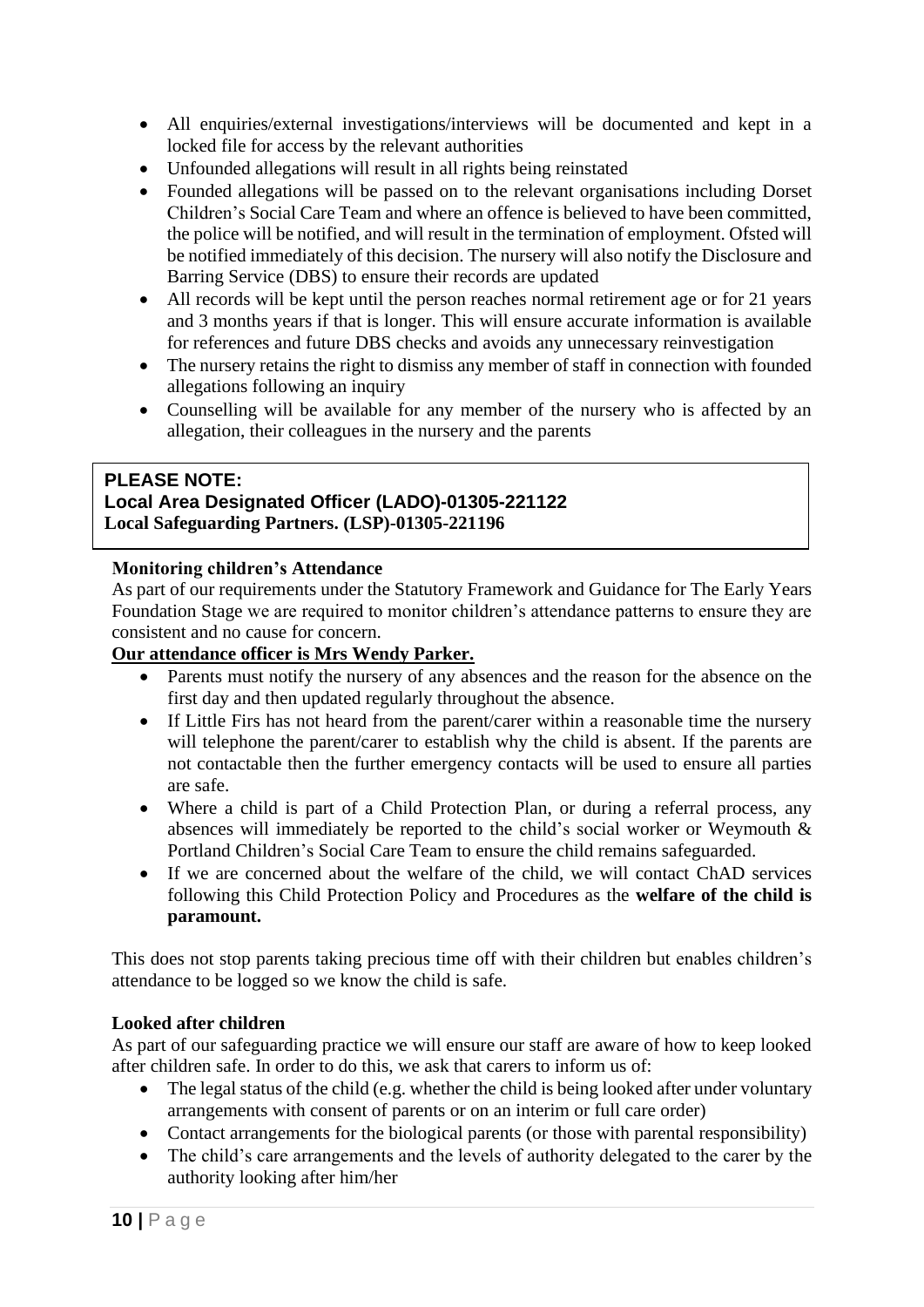- All enquiries/external investigations/interviews will be documented and kept in a locked file for access by the relevant authorities
- Unfounded allegations will result in all rights being reinstated
- Founded allegations will be passed on to the relevant organisations including Dorset Children's Social Care Team and where an offence is believed to have been committed, the police will be notified, and will result in the termination of employment. Ofsted will be notified immediately of this decision. The nursery will also notify the Disclosure and Barring Service (DBS) to ensure their records are updated
- All records will be kept until the person reaches normal retirement age or for 21 years and 3 months years if that is longer. This will ensure accurate information is available for references and future DBS checks and avoids any unnecessary reinvestigation
- The nursery retains the right to dismiss any member of staff in connection with founded allegations following an inquiry
- Counselling will be available for any member of the nursery who is affected by an allegation, their colleagues in the nursery and the parents

# **PLEASE NOTE:**

## **Local Area Designated Officer (LADO)-01305-221122 Local Safeguarding Partners. (LSP)-01305-221196**

## **Monitoring children's Attendance**

As part of our requirements under the Statutory Framework and Guidance for The Early Years Foundation Stage we are required to monitor children's attendance patterns to ensure they are consistent and no cause for concern.

## **Our attendance officer is Mrs Wendy Parker.**

- Parents must notify the nursery of any absences and the reason for the absence on the first day and then updated regularly throughout the absence.
- If Little Firs has not heard from the parent/carer within a reasonable time the nursery will telephone the parent/carer to establish why the child is absent. If the parents are not contactable then the further emergency contacts will be used to ensure all parties are safe.
- Where a child is part of a Child Protection Plan, or during a referral process, any absences will immediately be reported to the child's social worker or Weymouth & Portland Children's Social Care Team to ensure the child remains safeguarded.
- If we are concerned about the welfare of the child, we will contact ChAD services following this Child Protection Policy and Procedures as the **welfare of the child is paramount.**

This does not stop parents taking precious time off with their children but enables children's attendance to be logged so we know the child is safe.

## **Looked after children**

As part of our safeguarding practice we will ensure our staff are aware of how to keep looked after children safe. In order to do this, we ask that carers to inform us of:

- The legal status of the child (e.g. whether the child is being looked after under voluntary arrangements with consent of parents or on an interim or full care order)
- Contact arrangements for the biological parents (or those with parental responsibility)
- The child's care arrangements and the levels of authority delegated to the carer by the authority looking after him/her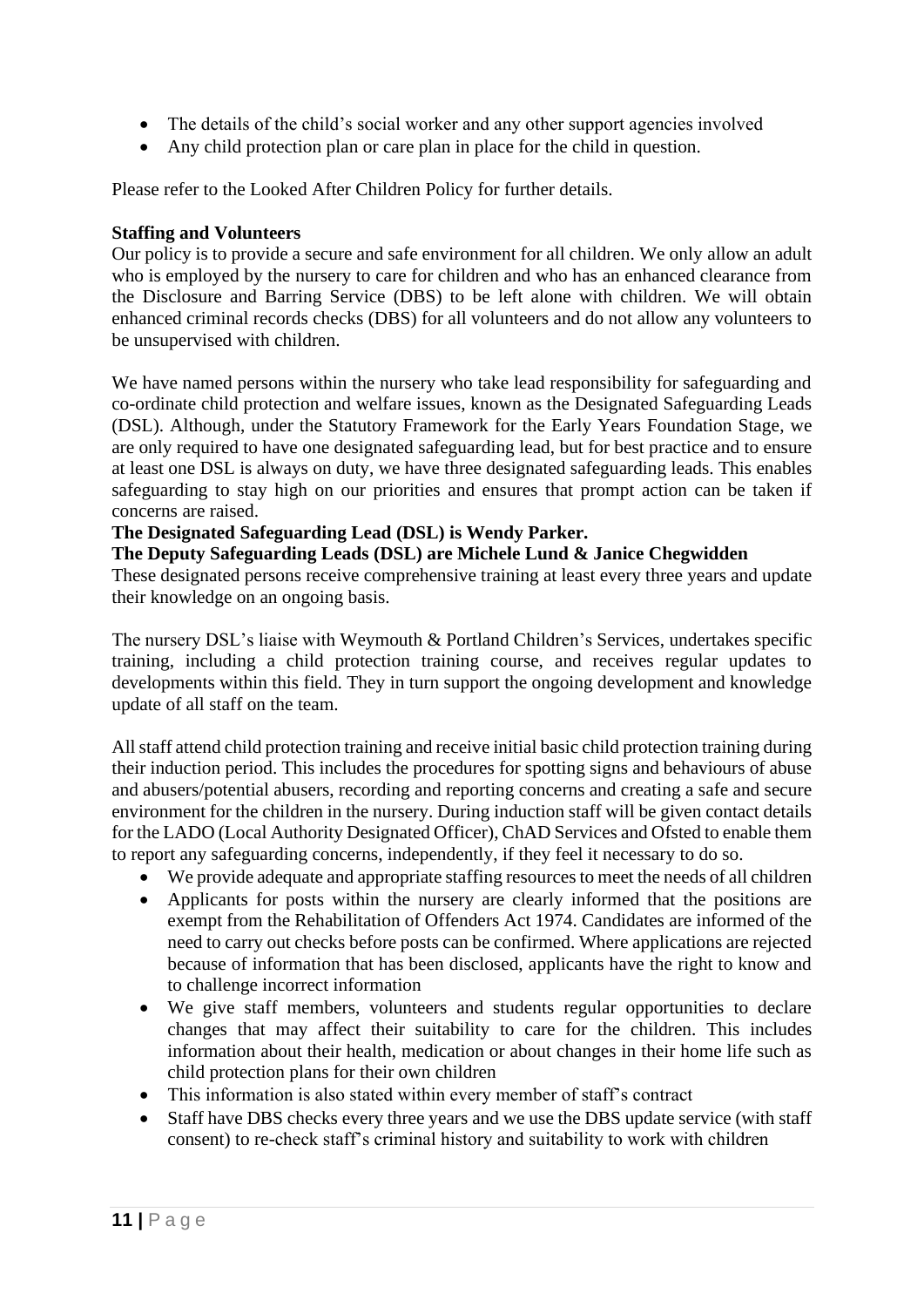- The details of the child's social worker and any other support agencies involved
- Any child protection plan or care plan in place for the child in question.

Please refer to the Looked After Children Policy for further details.

## **Staffing and Volunteers**

Our policy is to provide a secure and safe environment for all children. We only allow an adult who is employed by the nursery to care for children and who has an enhanced clearance from the Disclosure and Barring Service (DBS) to be left alone with children. We will obtain enhanced criminal records checks (DBS) for all volunteers and do not allow any volunteers to be unsupervised with children.

We have named persons within the nursery who take lead responsibility for safeguarding and co-ordinate child protection and welfare issues, known as the Designated Safeguarding Leads (DSL). Although, under the Statutory Framework for the Early Years Foundation Stage, we are only required to have one designated safeguarding lead, but for best practice and to ensure at least one DSL is always on duty, we have three designated safeguarding leads. This enables safeguarding to stay high on our priorities and ensures that prompt action can be taken if concerns are raised.

## **The Designated Safeguarding Lead (DSL) is Wendy Parker.**

# **The Deputy Safeguarding Leads (DSL) are Michele Lund & Janice Chegwidden**

These designated persons receive comprehensive training at least every three years and update their knowledge on an ongoing basis.

The nursery DSL's liaise with Weymouth & Portland Children's Services, undertakes specific training, including a child protection training course, and receives regular updates to developments within this field. They in turn support the ongoing development and knowledge update of all staff on the team.

All staff attend child protection training and receive initial basic child protection training during their induction period. This includes the procedures for spotting signs and behaviours of abuse and abusers/potential abusers, recording and reporting concerns and creating a safe and secure environment for the children in the nursery. During induction staff will be given contact details for the LADO (Local Authority Designated Officer), ChAD Services and Ofsted to enable them to report any safeguarding concerns, independently, if they feel it necessary to do so.

- We provide adequate and appropriate staffing resources to meet the needs of all children
- Applicants for posts within the nursery are clearly informed that the positions are exempt from the Rehabilitation of Offenders Act 1974. Candidates are informed of the need to carry out checks before posts can be confirmed. Where applications are rejected because of information that has been disclosed, applicants have the right to know and to challenge incorrect information
- We give staff members, volunteers and students regular opportunities to declare changes that may affect their suitability to care for the children. This includes information about their health, medication or about changes in their home life such as child protection plans for their own children
- This information is also stated within every member of staff's contract
- Staff have DBS checks every three years and we use the DBS update service (with staff consent) to re-check staff's criminal history and suitability to work with children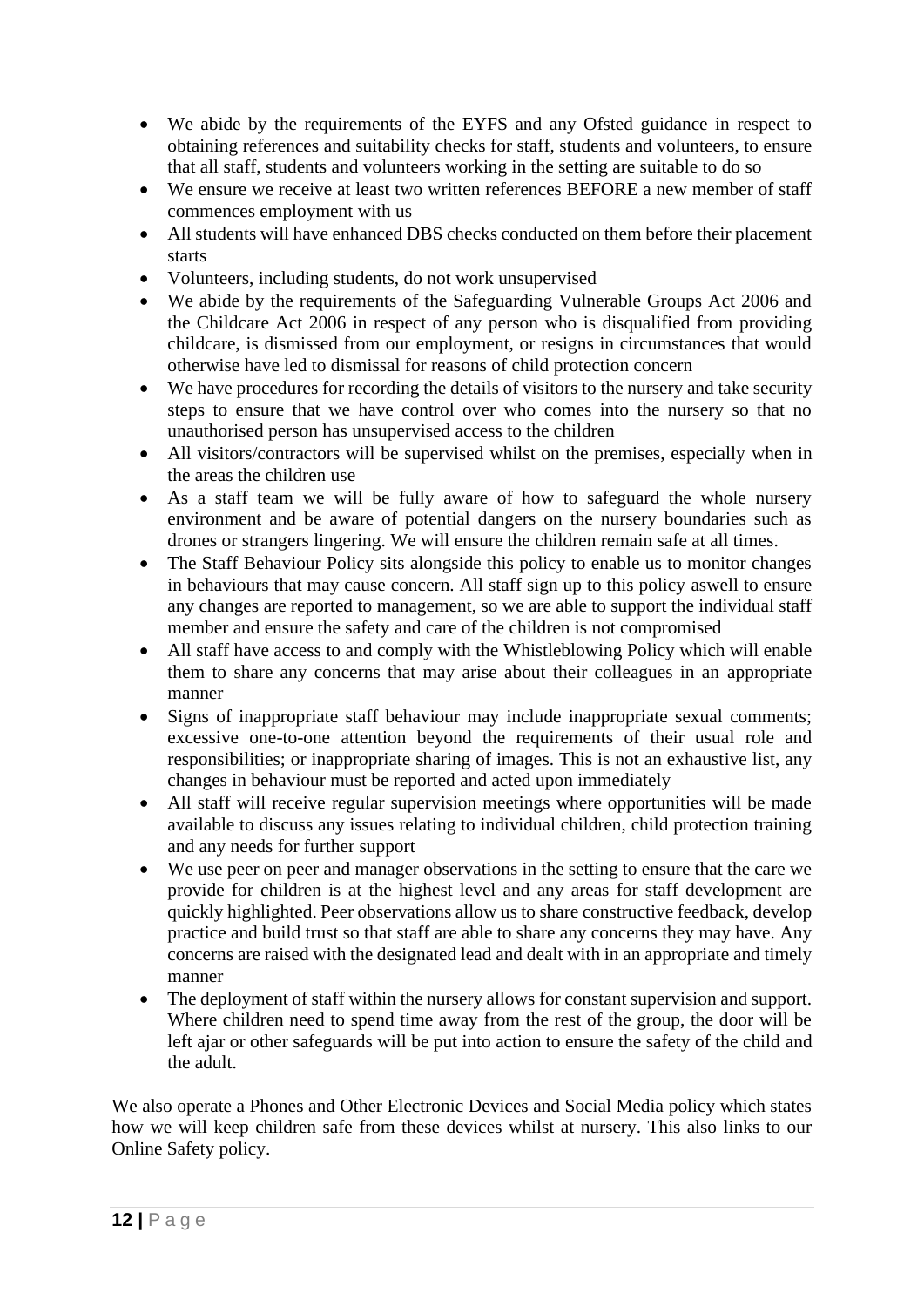- We abide by the requirements of the EYFS and any Ofsted guidance in respect to obtaining references and suitability checks for staff, students and volunteers, to ensure that all staff, students and volunteers working in the setting are suitable to do so
- We ensure we receive at least two written references BEFORE a new member of staff commences employment with us
- All students will have enhanced DBS checks conducted on them before their placement starts
- Volunteers, including students, do not work unsupervised
- We abide by the requirements of the Safeguarding Vulnerable Groups Act 2006 and the Childcare Act 2006 in respect of any person who is disqualified from providing childcare, is dismissed from our employment, or resigns in circumstances that would otherwise have led to dismissal for reasons of child protection concern
- We have procedures for recording the details of visitors to the nursery and take security steps to ensure that we have control over who comes into the nursery so that no unauthorised person has unsupervised access to the children
- All visitors/contractors will be supervised whilst on the premises, especially when in the areas the children use
- As a staff team we will be fully aware of how to safeguard the whole nursery environment and be aware of potential dangers on the nursery boundaries such as drones or strangers lingering. We will ensure the children remain safe at all times.
- The Staff Behaviour Policy sits alongside this policy to enable us to monitor changes in behaviours that may cause concern. All staff sign up to this policy aswell to ensure any changes are reported to management, so we are able to support the individual staff member and ensure the safety and care of the children is not compromised
- All staff have access to and comply with the Whistleblowing Policy which will enable them to share any concerns that may arise about their colleagues in an appropriate manner
- Signs of inappropriate staff behaviour may include inappropriate sexual comments; excessive one-to-one attention beyond the requirements of their usual role and responsibilities; or inappropriate sharing of images. This is not an exhaustive list, any changes in behaviour must be reported and acted upon immediately
- All staff will receive regular supervision meetings where opportunities will be made available to discuss any issues relating to individual children, child protection training and any needs for further support
- We use peer on peer and manager observations in the setting to ensure that the care we provide for children is at the highest level and any areas for staff development are quickly highlighted. Peer observations allow us to share constructive feedback, develop practice and build trust so that staff are able to share any concerns they may have. Any concerns are raised with the designated lead and dealt with in an appropriate and timely manner
- The deployment of staff within the nursery allows for constant supervision and support. Where children need to spend time away from the rest of the group, the door will be left ajar or other safeguards will be put into action to ensure the safety of the child and the adult.

We also operate a Phones and Other Electronic Devices and Social Media policy which states how we will keep children safe from these devices whilst at nursery. This also links to our Online Safety policy.